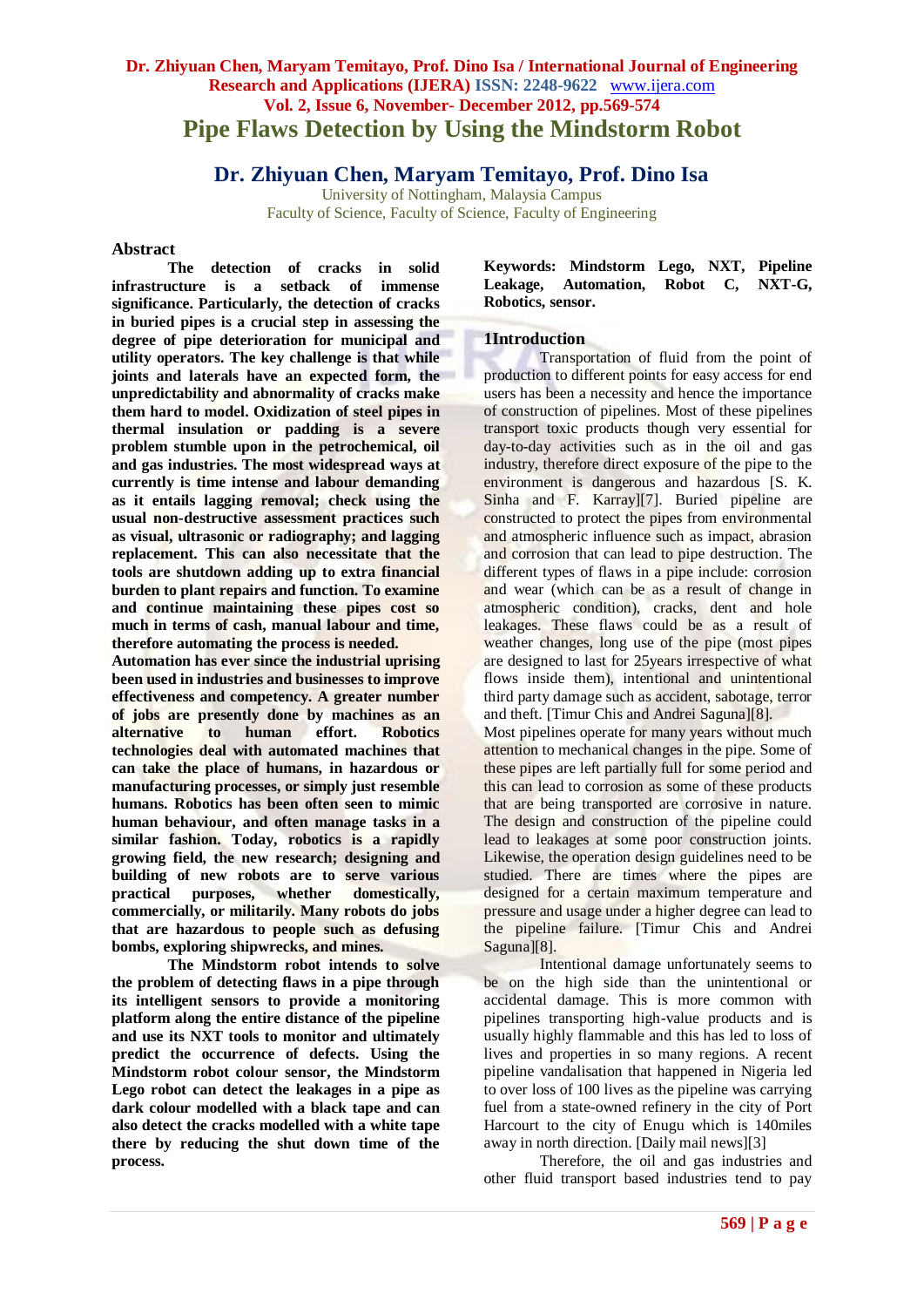# **Dr. Zhiyuan Chen, Maryam Temitayo, Prof. Dino Isa / International Journal of Engineering Research and Applications (IJERA) ISSN: 2248-9622** www.ijera.com **Vol. 2, Issue 6, November- December 2012, pp.569-574 Pipe Flaws Detection by Using the Mindstorm Robot**

# **Dr. Zhiyuan Chen, Maryam Temitayo, Prof. Dino Isa**

University of Nottingham, Malaysia Campus Faculty of Science, Faculty of Science, Faculty of Engineering

#### **Abstract**

**The detection of cracks in solid infrastructure is a setback of immense significance. Particularly, the detection of cracks in buried pipes is a crucial step in assessing the degree of pipe deterioration for municipal and utility operators. The key challenge is that while joints and laterals have an expected form, the unpredictability and abnormality of cracks make them hard to model. Oxidization of steel pipes in thermal insulation or padding is a severe problem stumble upon in the petrochemical, oil and gas industries. The most widespread ways at currently is time intense and labour demanding as it entails lagging removal; check using the usual non-destructive assessment practices such as visual, ultrasonic or radiography; and lagging replacement. This can also necessitate that the tools are shutdown adding up to extra financial burden to plant repairs and function. To examine and continue maintaining these pipes cost so much in terms of cash, manual labour and time, therefore automating the process is needed.**

**Automation has ever since the industrial uprising been used in industries and businesses to improve effectiveness and competency. A greater number of jobs are presently done by machines as an alternative to human effort. Robotics technologies deal with automated machines that can take the place of humans, in hazardous or manufacturing processes, or simply just resemble humans. Robotics has been often seen to mimic human behaviour, and often manage tasks in a similar fashion. Today, robotics is a rapidly growing field, the new research; designing and building of new robots are to serve various practical purposes, whether domestically, commercially, or militarily. Many robots do jobs that are hazardous to people such as defusing bombs, exploring shipwrecks, and mines.**

**The Mindstorm robot intends to solve the problem of detecting flaws in a pipe through its intelligent sensors to provide a monitoring platform along the entire distance of the pipeline and use its NXT tools to monitor and ultimately predict the occurrence of defects. Using the Mindstorm robot colour sensor, the Mindstorm Lego robot can detect the leakages in a pipe as dark colour modelled with a black tape and can also detect the cracks modelled with a white tape there by reducing the shut down time of the process.**

**Keywords: Mindstorm Lego, NXT, Pipeline Leakage, Automation, Robot C, NXT-G, Robotics, sensor.**

# **1Introduction**

Transportation of fluid from the point of production to different points for easy access for end users has been a necessity and hence the importance of construction of pipelines. Most of these pipelines transport toxic products though very essential for day-to-day activities such as in the oil and gas industry, therefore direct exposure of the pipe to the environment is dangerous and hazardous [S. K. Sinha and F. Karray][7]. Buried pipeline are constructed to protect the pipes from environmental and atmospheric influence such as impact, abrasion and corrosion that can lead to pipe destruction. The different types of flaws in a pipe include: corrosion and wear (which can be as a result of change in atmospheric condition), cracks, dent and hole leakages. These flaws could be as a result of weather changes, long use of the pipe (most pipes are designed to last for 25years irrespective of what flows inside them), intentional and unintentional third party damage such as accident, sabotage, terror and theft. [Timur Chis and Andrei Saguna][8]. Most pipelines operate for many years without much attention to mechanical changes in the pipe. Some of

these pipes are left partially full for some period and this can lead to corrosion as some of these products that are being transported are corrosive in nature. The design and construction of the pipeline could lead to leakages at some poor construction joints. Likewise, the operation design guidelines need to be studied. There are times where the pipes are designed for a certain maximum temperature and pressure and usage under a higher degree can lead to the pipeline failure. [Timur Chis and Andrei Saguna][8].

Intentional damage unfortunately seems to be on the high side than the unintentional or accidental damage. This is more common with pipelines transporting high-value products and is usually highly flammable and this has led to loss of lives and properties in so many regions. A recent pipeline vandalisation that happened in Nigeria led to over loss of 100 lives as the pipeline was carrying fuel from a state-owned refinery in the city of Port Harcourt to the city of Enugu which is 140miles away in north direction. [Daily mail news][3]

Therefore, the oil and gas industries and other fluid transport based industries tend to pay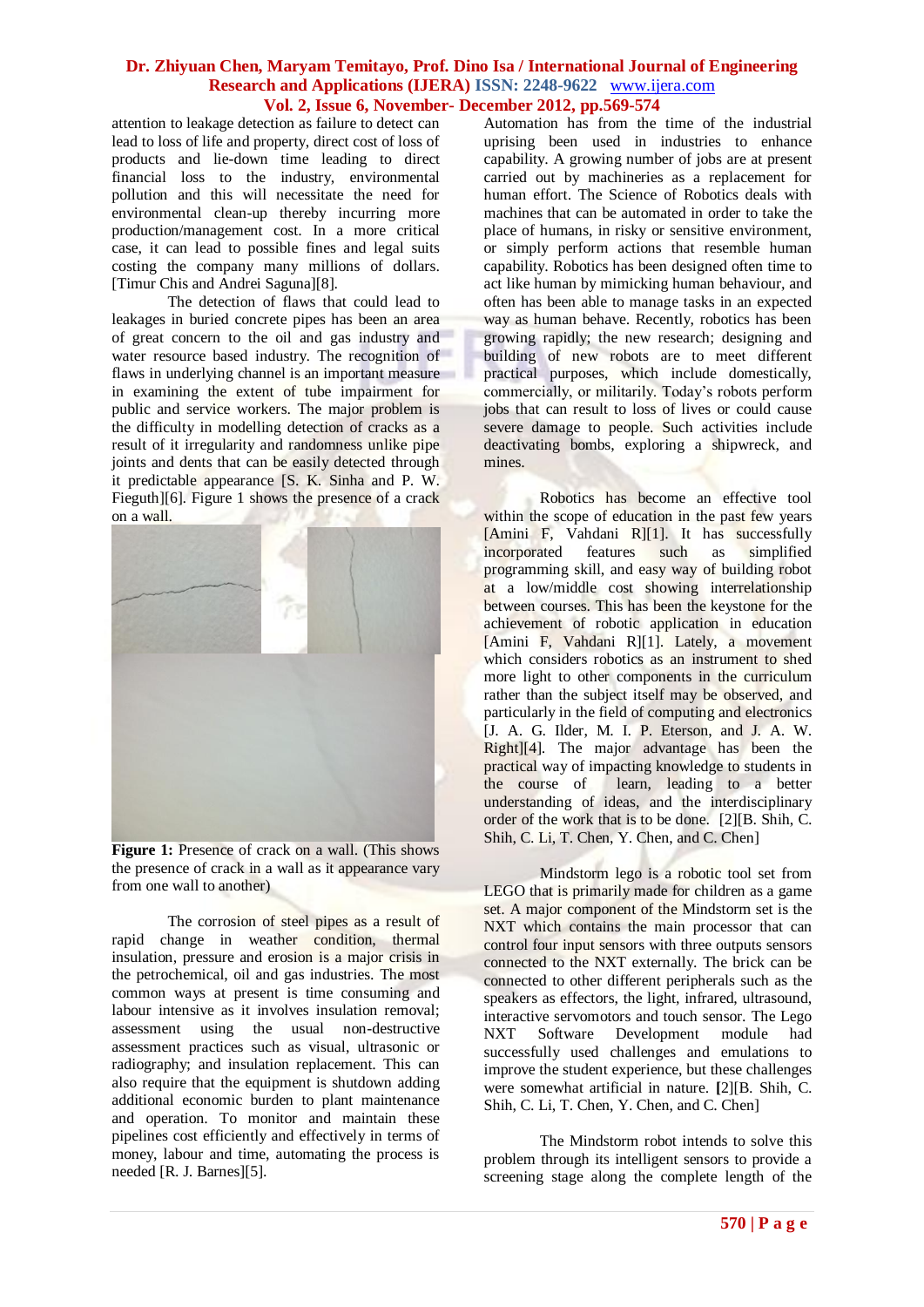attention to leakage detection as failure to detect can lead to loss of life and property, direct cost of loss of products and lie-down time leading to direct financial loss to the industry, environmental pollution and this will necessitate the need for environmental clean-up thereby incurring more production/management cost. In a more critical case, it can lead to possible fines and legal suits costing the company many millions of dollars. [Timur Chis and Andrei Saguna][8].

The detection of flaws that could lead to leakages in buried concrete pipes has been an area of great concern to the oil and gas industry and water resource based industry. The recognition of flaws in underlying channel is an important measure in examining the extent of tube impairment for public and service workers. The major problem is the difficulty in modelling detection of cracks as a result of it irregularity and randomness unlike pipe joints and dents that can be easily detected through it predictable appearance [S. K. Sinha and P. W. Fieguth][6]. Figure 1 shows the presence of a crack on a wall.



**Figure 1:** Presence of crack on a wall. (This shows the presence of crack in a wall as it appearance vary from one wall to another)

The corrosion of steel pipes as a result of rapid change in weather condition, thermal insulation, pressure and erosion is a major crisis in the petrochemical, oil and gas industries. The most common ways at present is time consuming and labour intensive as it involves insulation removal; assessment using the usual non-destructive assessment practices such as visual, ultrasonic or radiography; and insulation replacement. This can also require that the equipment is shutdown adding additional economic burden to plant maintenance and operation. To monitor and maintain these pipelines cost efficiently and effectively in terms of money, labour and time, automating the process is needed [R. J. Barnes][5].

Automation has from the time of the industrial uprising been used in industries to enhance capability. A growing number of jobs are at present carried out by machineries as a replacement for human effort. The Science of Robotics deals with machines that can be automated in order to take the place of humans, in risky or sensitive environment, or simply perform actions that resemble human capability. Robotics has been designed often time to act like human by mimicking human behaviour, and often has been able to manage tasks in an expected way as human behave. Recently, robotics has been growing rapidly; the new research; designing and building of new robots are to meet different practical purposes, which include domestically, commercially, or militarily. Today's robots perform jobs that can result to loss of lives or could cause severe damage to people. Such activities include deactivating bombs, exploring a shipwreck, and mines.

Robotics has become an effective tool within the scope of education in the past few years [Amini F, Vahdani R][1]. It has successfully incorporated features such as simplified incorporated features such as programming skill, and easy way of building robot at a low/middle cost showing interrelationship between courses. This has been the keystone for the achievement of robotic application in education [Amini F, Vahdani R][1]. Lately, a movement which considers robotics as an instrument to shed more light to other components in the curriculum rather than the subject itself may be observed, and particularly in the field of computing and electronics [J. A. G. Ilder, M. I. P. Eterson, and J. A. W. Right][4]. The major advantage has been the practical way of impacting knowledge to students in the course of learn, leading to a better understanding of ideas, and the interdisciplinary order of the work that is to be done. [2][B. Shih, C. Shih, C. Li, T. Chen, Y. Chen, and C. Chen]

Mindstorm lego is a robotic tool set from LEGO that is primarily made for children as a game set. A major component of the Mindstorm set is the NXT which contains the main processor that can control four input sensors with three outputs sensors connected to the NXT externally. The brick can be connected to other different peripherals such as the speakers as effectors, the light, infrared, ultrasound, interactive servomotors and touch sensor. The Lego NXT Software Development module had successfully used challenges and emulations to improve the student experience, but these challenges were somewhat artificial in nature. **[**2][B. Shih, C. Shih, C. Li, T. Chen, Y. Chen, and C. Chen]

The Mindstorm robot intends to solve this problem through its intelligent sensors to provide a screening stage along the complete length of the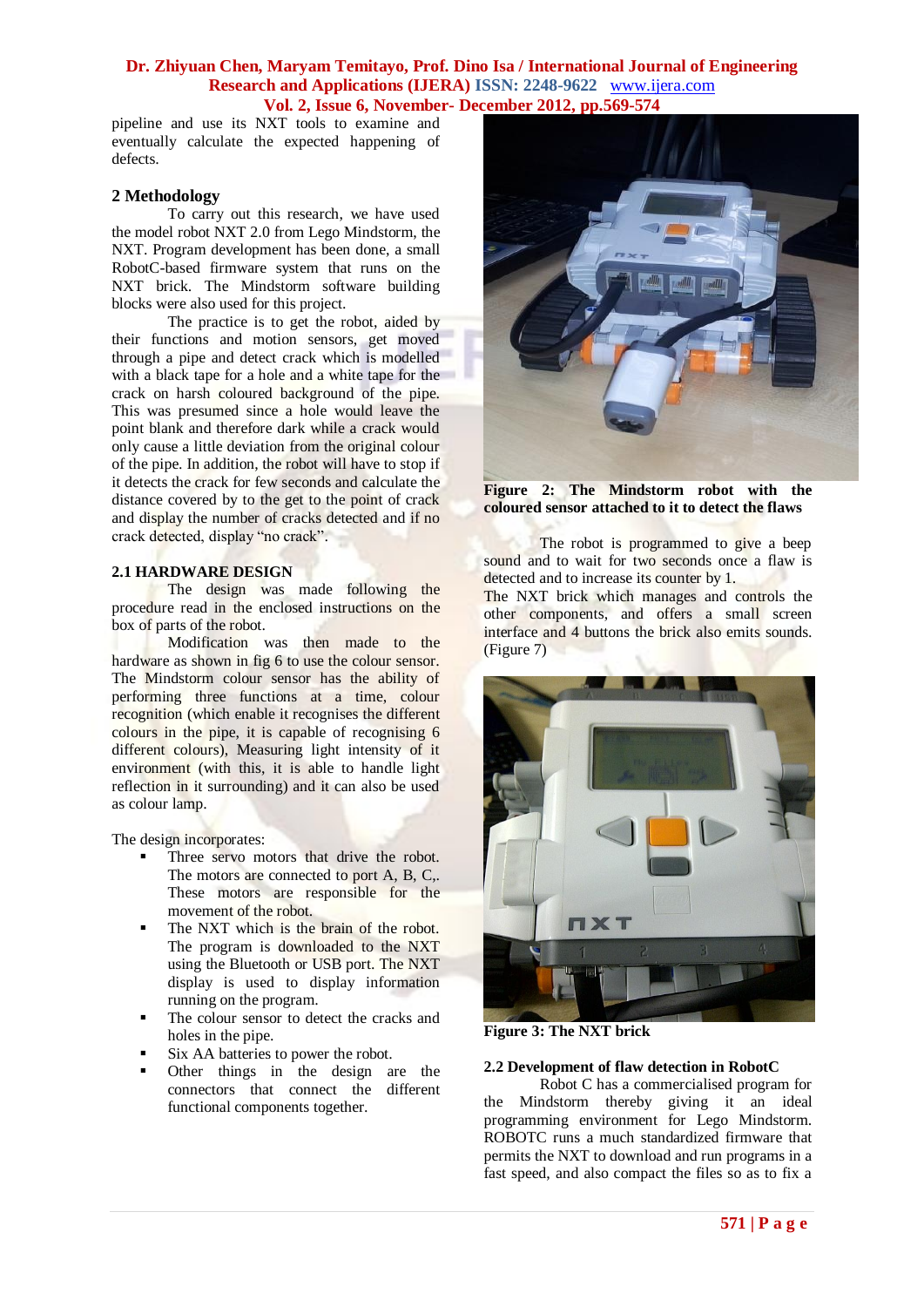pipeline and use its NXT tools to examine and eventually calculate the expected happening of defects.

# **2 Methodology**

To carry out this research, we have used the model robot NXT 2.0 from Lego Mindstorm, the NXT. Program development has been done, a small RobotC-based firmware system that runs on the NXT brick. The Mindstorm software building blocks were also used for this project.

The practice is to get the robot, aided by their functions and motion sensors, get moved through a pipe and detect crack which is modelled with a black tape for a hole and a white tape for the crack on harsh coloured background of the pipe. This was presumed since a hole would leave the point blank and therefore dark while a crack would only cause a little deviation from the original colour of the pipe. In addition, the robot will have to stop if it detects the crack for few seconds and calculate the distance covered by to the get to the point of crack and display the number of cracks detected and if no crack detected, display "no crack".

# **2.1 HARDWARE DESIGN**

The design was made following the procedure read in the enclosed instructions on the box of parts of the robot.

Modification was then made to the hardware as shown in fig 6 to use the colour sensor. The Mindstorm colour sensor has the ability of performing three functions at a time, colour recognition (which enable it recognises the different colours in the pipe, it is capable of recognising 6 different colours), Measuring light intensity of it environment (with this, it is able to handle light reflection in it surrounding) and it can also be used as colour lamp.

The design incorporates:

- Three servo motors that drive the robot. The motors are connected to port A, B, C,. These motors are responsible for the movement of the robot.
- The NXT which is the brain of the robot. The program is downloaded to the NXT using the Bluetooth or USB port. The NXT display is used to display information running on the program.
- The colour sensor to detect the cracks and holes in the pipe.
- Six AA batteries to power the robot.
- Other things in the design are the connectors that connect the different functional components together.



**Figure 2: The Mindstorm robot with the coloured sensor attached to it to detect the flaws**

The robot is programmed to give a beep sound and to wait for two seconds once a flaw is detected and to increase its counter by 1.

The NXT brick which manages and controls the other components, and offers a small screen interface and 4 buttons the brick also emits sounds. (Figure 7)



**Figure 3: The NXT brick**

#### **2.2 Development of flaw detection in RobotC**

Robot C has a commercialised program for the Mindstorm thereby giving it an ideal programming environment for Lego Mindstorm. ROBOTC runs a much standardized firmware that permits the NXT to download and run programs in a fast speed, and also compact the files so as to fix a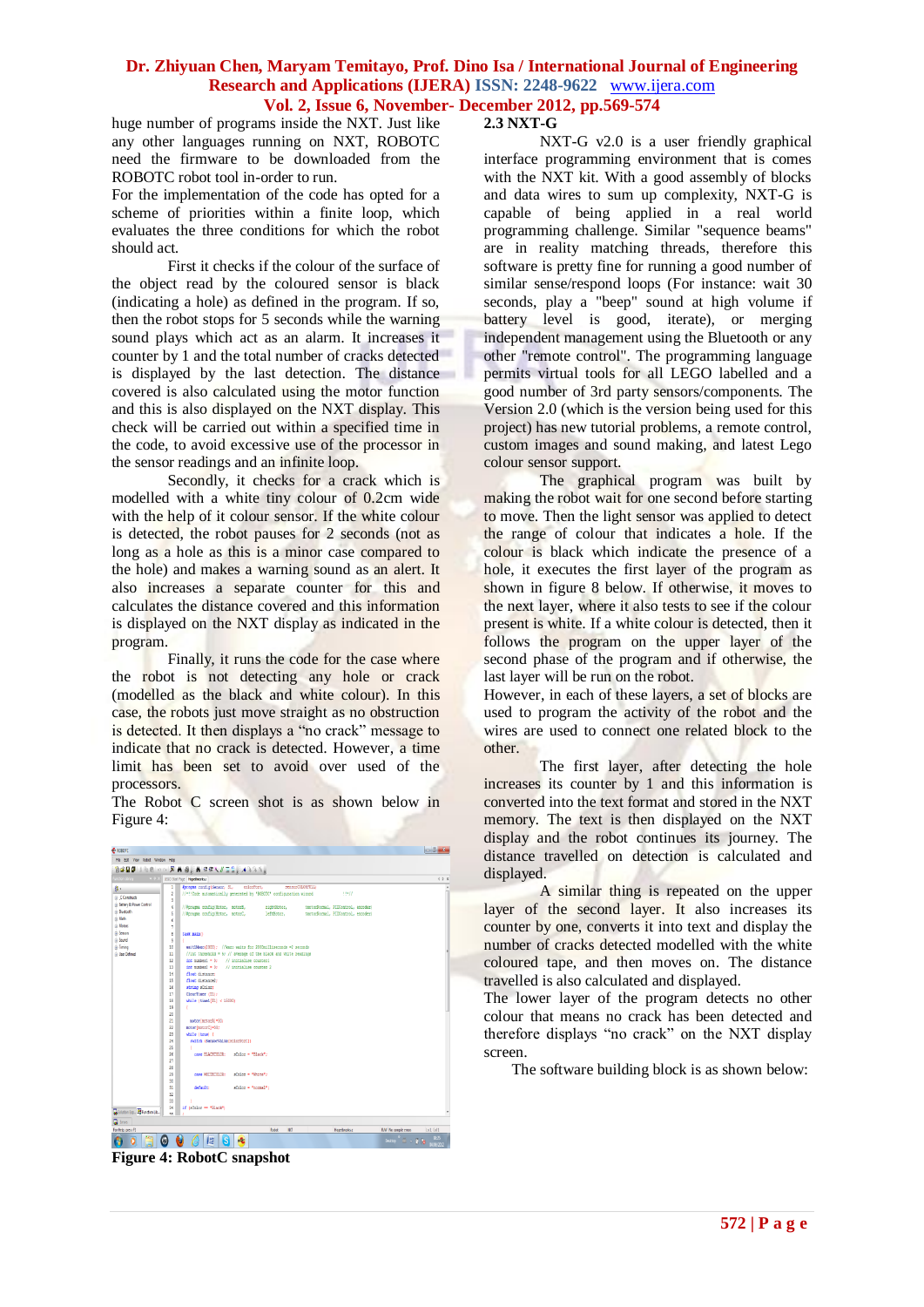huge number of programs inside the NXT. Just like any other languages running on NXT, ROBOTC need the firmware to be downloaded from the ROBOTC robot tool in-order to run.

For the implementation of the code has opted for a scheme of priorities within a finite loop, which evaluates the three conditions for which the robot should act.

First it checks if the colour of the surface of the object read by the coloured sensor is black (indicating a hole) as defined in the program. If so, then the robot stops for 5 seconds while the warning sound plays which act as an alarm. It increases it counter by 1 and the total number of cracks detected is displayed by the last detection. The distance covered is also calculated using the motor function and this is also displayed on the NXT display. This check will be carried out within a specified time in the code, to avoid excessive use of the processor in the sensor readings and an infinite loop.

Secondly, it checks for a crack which is modelled with a white tiny colour of 0.2cm wide with the help of it colour sensor. If the white colour is detected, the robot pauses for 2 seconds (not as long as a hole as this is a minor case compared to the hole) and makes a warning sound as an alert. It also increases a separate counter for this and calculates the distance covered and this information is displayed on the NXT display as indicated in the program.

Finally, it runs the code for the case where the robot is not detecting any hole or crack (modelled as the black and white colour). In this case, the robots just move straight as no obstruction is detected. It then displays a "no crack" message to indicate that no crack is detected. However, a time limit has been set to avoid over used of the processors.

The Robot C screen shot is as shown below in Figure 4:



**Figure 4: RobotC snapshot**

# **2.3 NXT-G**

NXT-G v2.0 is a user friendly graphical interface programming environment that is comes with the NXT kit. With a good assembly of blocks and data wires to sum up complexity, NXT-G is capable of being applied in a real world programming challenge. Similar "sequence beams" are in reality matching threads, therefore this software is pretty fine for running a good number of similar sense/respond loops (For instance: wait 30 seconds, play a "beep" sound at high volume if battery level is good, iterate), or merging independent management using the Bluetooth or any other "remote control". The programming language permits virtual tools for all LEGO labelled and a good number of 3rd party sensors/components. The Version 2.0 (which is the version being used for this project) has new tutorial problems, a remote control, custom images and sound making, and latest Lego colour sensor support.

The graphical program was built by making the robot wait for one second before starting to move. Then the light sensor was applied to detect the range of colour that indicates a hole. If the colour is black which indicate the presence of a hole, it executes the first layer of the program as shown in figure 8 below. If otherwise, it moves to the next layer, where it also tests to see if the colour present is white. If a white colour is detected, then it follows the program on the upper layer of the second phase of the program and if otherwise, the last layer will be run on the robot.

However, in each of these layers, a set of blocks are used to program the activity of the robot and the wires are used to connect one related block to the other.

The first layer, after detecting the hole increases its counter by 1 and this information is converted into the text format and stored in the NXT memory. The text is then displayed on the NXT display and the robot continues its journey. The distance travelled on detection is calculated and displayed.

A similar thing is repeated on the upper layer of the second layer. It also increases its counter by one, converts it into text and display the number of cracks detected modelled with the white coloured tape, and then moves on. The distance travelled is also calculated and displayed.

The lower layer of the program detects no other colour that means no crack has been detected and therefore displays "no crack" on the NXT display screen.

The software building block is as shown below: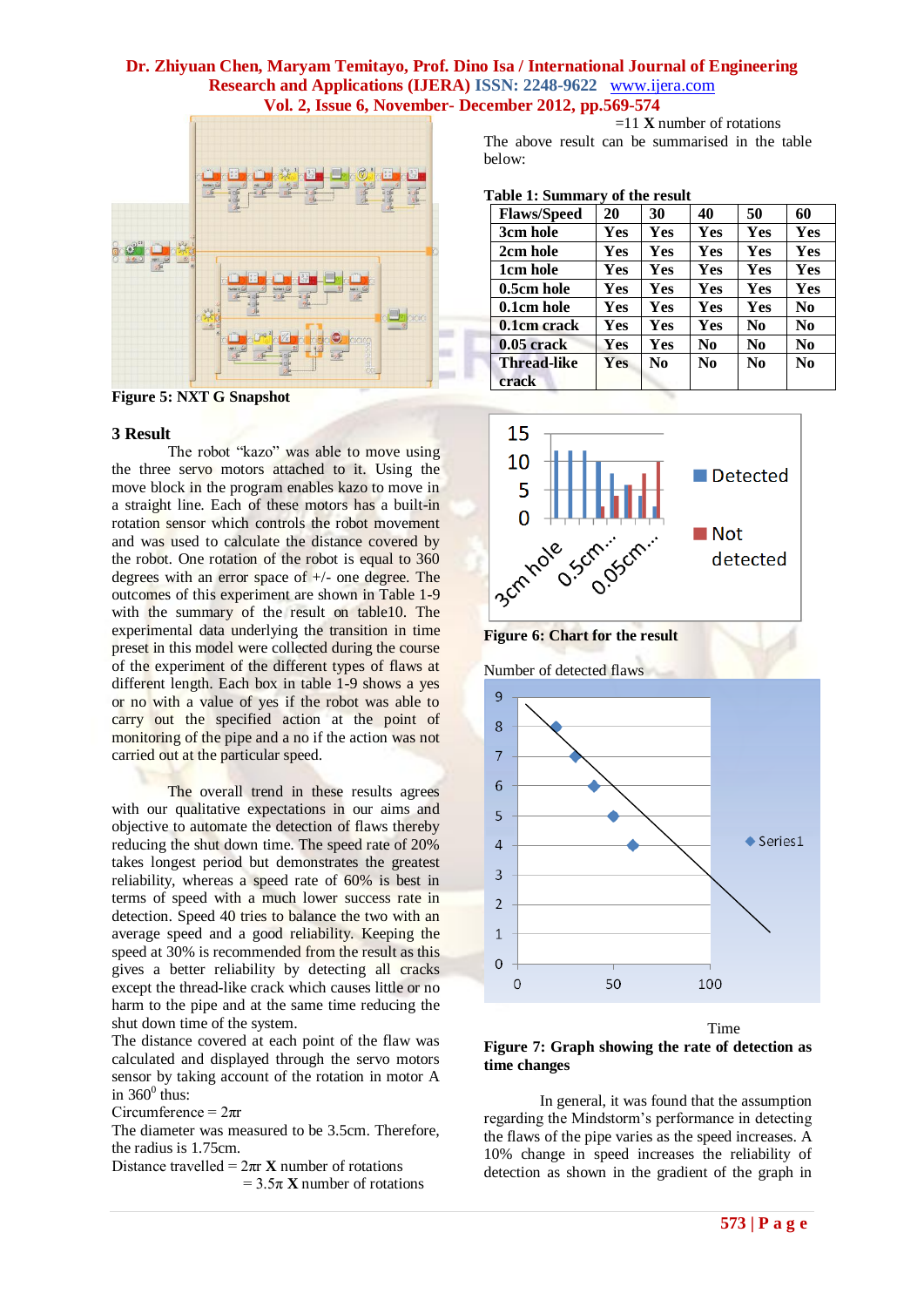

**Figure 5: NXT G Snapshot**

#### **3 Result**

The robot "kazo" was able to move using the three servo motors attached to it. Using the move block in the program enables kazo to move in a straight line. Each of these motors has a built-in rotation sensor which controls the robot movement and was used to calculate the distance covered by the robot. One rotation of the robot is equal to 360 degrees with an error space of +/- one degree. The outcomes of this experiment are shown in Table 1-9 with the summary of the result on table10. The experimental data underlying the transition in time preset in this model were collected during the course of the experiment of the different types of flaws at different length. Each box in table 1-9 shows a yes or no with a value of yes if the robot was able to carry out the specified action at the point of monitoring of the pipe and a no if the action was not carried out at the particular speed.

The overall trend in these results agrees with our qualitative expectations in our aims and objective to automate the detection of flaws thereby reducing the shut down time. The speed rate of 20% takes longest period but demonstrates the greatest reliability, whereas a speed rate of 60% is best in terms of speed with a much lower success rate in detection. Speed 40 tries to balance the two with an average speed and a good reliability. Keeping the speed at 30% is recommended from the result as this gives a better reliability by detecting all cracks except the thread-like crack which causes little or no harm to the pipe and at the same time reducing the shut down time of the system.

The distance covered at each point of the flaw was calculated and displayed through the servo motors sensor by taking account of the rotation in motor A in  $360^{\circ}$  thus:

Circumference =  $2\pi r$ 

The diameter was measured to be 3.5cm. Therefore, the radius is 1.75cm.

Distance travelled =  $2\pi r \mathbf{X}$  number of rotations  $= 3.5\pi$  **X** number of rotations

 =11 **X** number of rotations The above result can be summarised in the table below:

| <b>Flaws/Speed</b>          | $\cdot$<br>20 | 30             | 40             | 50             | 60             |
|-----------------------------|---------------|----------------|----------------|----------------|----------------|
| 3cm hole                    | Yes           | Yes            | Yes            | Yes            | Yes            |
| 2cm hole                    | Yes           | Yes            | Yes            | Yes            | <b>Yes</b>     |
| 1cm hole                    | Yes           | Yes            | Yes            | Yes            | Yes            |
| 0.5cm hole                  | Yes           | Yes            | Yes            | Yes            | Yes            |
| 0.1cm hole                  | Yes           | <b>Yes</b>     | Yes            | Yes            | No.            |
| 0.1cm crack                 | Yes           | <b>Yes</b>     | Yes            | N <sub>0</sub> | N <sub>0</sub> |
| $0.05$ crack                | Yes           | <b>Yes</b>     | N <sub>0</sub> | N <sub>0</sub> | N <sub>0</sub> |
| <b>Thread-like</b><br>crack | <b>Yes</b>    | N <sub>0</sub> | N <sub>0</sub> | N <sub>0</sub> | N <sub>0</sub> |





Number of detected flaws



Time



In general, it was found that the assumption regarding the Mindstorm's performance in detecting the flaws of the pipe varies as the speed increases. A 10% change in speed increases the reliability of detection as shown in the gradient of the graph in